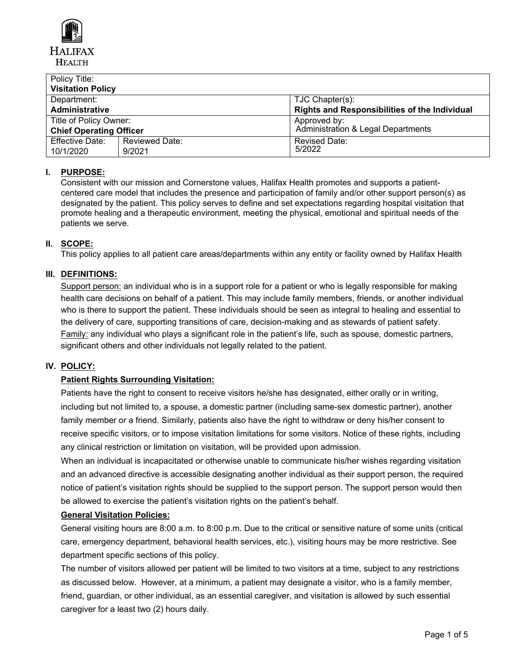

| Policy Title:                  |                       |                                                      |
|--------------------------------|-----------------------|------------------------------------------------------|
| <b>Visitation Policy</b>       |                       |                                                      |
| Department:                    |                       | TJC Chapter(s):                                      |
| <b>Administrative</b>          |                       | <b>Rights and Responsibilities of the Individual</b> |
| Title of Policy Owner:         |                       | Approved by:                                         |
| <b>Chief Operating Officer</b> |                       | <b>Administration &amp; Legal Departments</b>        |
| <b>Effective Date:</b>         | <b>Reviewed Date:</b> | <b>Revised Date:</b>                                 |
| 10/1/2020                      | 9/2021                | 5/2022                                               |

# **I. PURPOSE:**

Consistent with our mission and Cornerstone values, Halifax Health promotes and supports a patientcentered care model that includes the presence and participation of family and/or other support person(s) as designated by the patient. This policy serves to define and set expectations regarding hospital visitation that promote healing and a therapeutic environment, meeting the physical, emotional and spiritual needs of the patients we serve.

# **II. SCOPE:**

This policy applies to all patient care areas/departments within any entity or facility owned by Halifax Health

# **III. DEFINITIONS:**

Support person: an individual who is in a support role for a patient or who is legally responsible for making health care decisions on behalf of a patient. This may include family members, friends, or another individual who is there to support the patient. These individuals should be seen as integral to healing and essential to the delivery of care, supporting transitions of care, decision-making and as stewards of patient safety. Family: any individual who plays a significant role in the patient's life, such as spouse, domestic partners, significant others and other individuals not legally related to the patient.

# **IV. POLICY:**

# **Patient Rights Surrounding Visitation:**

Patients have the right to consent to receive visitors he/she has designated, either orally or in writing, including but not limited to, a spouse, a domestic partner (including same-sex domestic partner), another family member or a friend. Similarly, patients also have the right to withdraw or deny his/her consent to receive specific visitors, or to impose visitation limitations for some visitors. Notice of these rights, including any clinical restriction or limitation on visitation, will be provided upon admission.

When an individual is incapacitated or otherwise unable to communicate his/her wishes regarding visitation and an advanced directive is accessible designating another individual as their support person, the required notice of patient's visitation rights should be supplied to the support person. The support person would then be allowed to exercise the patient's visitation rights on the patient's behalf.

# **General Visitation Policies:**

General visiting hours are 8:00 a.m. to 8:00 p.m. Due to the critical or sensitive nature of some units (critical care, emergency department, behavioral health services, etc.), visiting hours may be more restrictive. See department specific sections of this policy.

The number of visitors allowed per patient will be limited to two visitors at a time, subject to any restrictions as discussed below. However, at a minimum, a patient may designate a visitor, who is a family member, friend, guardian, or other individual, as an essential caregiver, and visitation is allowed by such essential caregiver for a least two (2) hours daily.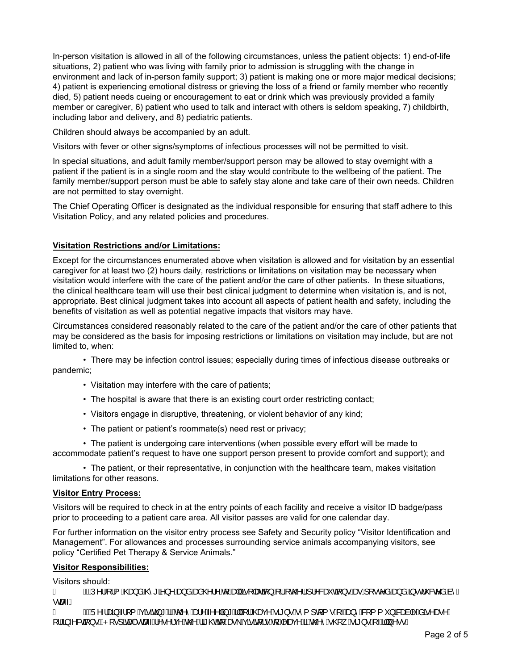In-person visitation is allowed in all of the following circumstances, unless the patient objects: 1) end-of-life situations, 2) patient who was living with family prior to admission is struggling with the change in environment and lack of in-person family support; 3) patient is making one or more major medical decisions; 4) patient is experiencing emotional distress or grieving the loss of a friend or family member who recently died, 5) patient needs cueing or encouragement to eat or drink which was previously provided a family member or caregiver, 6) patient who used to talk and interact with others is seldom speaking, 7) childbirth, including labor and delivery, and 8) pediatric patients.

Children should always be accompanied by an adult.

Visitors with fever or other signs/symptoms of infectious processes will not be permitted to visit.

In special situations, and adult family member/support person may be allowed to stay overnight with a patient if the patient is in a single room and the stay would contribute to the wellbeing of the patient. The family member/support person must be able to safely stay alone and take care of their own needs. Children are not permitted to stay overnight.

The Chief Operating Officer is designated as the individual responsible for ensuring that staff adhere to this Visitation Policy, and any related policies and procedures.

## **Visitation Restrictions and/or Limitations:**

Except for the circumstances enumerated above when visitation is allowed and for visitation by an essential caregiver for at least two (2) hours daily, restrictions or limitations on visitation may be necessary when visitation would interfere with the care of the patient and/or the care of other patients. In these situations, the clinical healthcare team will use their best clinical judgment to determine when visitation is, and is not, appropriate. Best clinical judgment takes into account all aspects of patient health and safety, including the benefits of visitation as well as potential negative impacts that visitors may have.

Circumstances considered reasonably related to the care of the patient and/or the care of other patients that may be considered as the basis for imposing restrictions or limitations on visitation may include, but are not limited to, when:

• There may be infection control issues; especially during times of infectious disease outbreaks or pandemic;

- Visitation may interfere with the care of patients;
- The hospital is aware that there is an existing court order restricting contact;
- Visitors engage in disruptive, threatening, or violent behavior of any kind;
- The patient or patient's roommate(s) need rest or privacy;

• The patient is undergoing care interventions (when possible every effort will be made to accommodate patient's request to have one support person present to provide comfort and support); and

• The patient, or their representative, in conjunction with the healthcare team, makes visitation limitations for other reasons.

# **Visitor Entry Process:**

Visitors will be required to check in at the entry points of each facility and receive a visitor ID badge/pass prior to proceeding to a patient care area. All visitor passes are valid for one calendar day.

For further information on the visitor entry process see Safety and Security policy "Visitor Identification and Management". For allowances and processes surrounding service animals accompanying visitors, see policy "Certified Pet Therapy & Service Animals."

# **Visitor Responsibilities:**

Visitors should:

A "ÄNU^¦4¦{AQea}åÁQ1\*a^}^Áaa}åÁana@¦^Áa{Áaa|Æme{]aza{}ŦÅcQ0¦Á¦^&ečdã}•Áae∙Á{|•c^åÁaa}åÁa{•cj\*&c^åÁa^Á ∙œ⊶È<br>Á

"AÄU^-lana)Al[{Açããa}\*AãAh@^And^A^^|a}\*Aã||A{|A@aq^A ã}•B^{]q{•A{-And}^AS{{{`}aBanà|^Asã^ae^A RULQIHFWLRQV+RVSLWDOVWDIIUHVHUYHWKHULJKWWRDVNYLVLWRUVWROHDYHLIWKH\VKRZVLJQVRILOOQHVV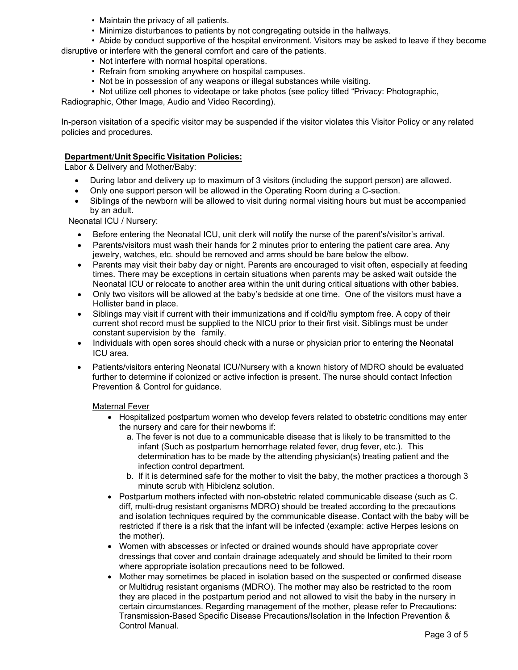- Maintain the privacy of all patients.
- Minimize disturbances to patients by not congregating outside in the hallways.

• Abide by conduct supportive of the hospital environment. Visitors may be asked to leave if they become disruptive or interfere with the general comfort and care of the patients.

- Not interfere with normal hospital operations.
- Refrain from smoking anywhere on hospital campuses.
- Not be in possession of any weapons or illegal substances while visiting.
- Not utilize cell phones to videotape or take photos (see policy titled "Privacy: Photographic,

Radiographic, Other Image, Audio and Video Recording).

In-person visitation of a specific visitor may be suspended if the visitor violates this Visitor Policy or any related policies and procedures.

## **Department/Unit Specific Visitation Policies:**

Labor & Delivery and Mother/Baby:

- 0 During labor and delivery up to maximum of <sup>3</sup> visitors (including the support person) are allowed.
- 0 Only one support person will be allowed in the Operating Room during <sup>a</sup> C-section.
- e Siblings of the newborn will be allowed to visit during normal visiting hours but must be accompanied by an adult.

Neonatal ICU / Nursery:

- Before entering the Neonatal ICU, unit clerk will notify the nurse of the parent's/visitor's arrival.
- Parents/visitors must wash their hands for 2 minutes prior to entering the patient care area. Any jewelry, watches, etc. should be removed and arms should be bare below the elbow.
- Parents may visit their baby day or night. Parents are encouraged to visit often, especially at feeding times. There may be exceptions in certain situations when parents may be asked wait outside the Neonatal ICU or relocate to another area within the unit during critical situations with other babies.
- Only two visitors will be allowed at the baby's bedside at one time. One of the visitors must have a Hollister band in place.
- Siblings may visit if current with their immunizations and if cold/flu symptom free. A copy of their current shot record must be supplied to the NICU prior to their first visit. Siblings must be under constant supervision by the family.
- Individuals with open sores should check with a nurse or physician prior to entering the Neonatal ICU area.
- 0 Patients/visitors entering Neonatal ICU/Nursery with <sup>a</sup> known history of MDRO should be evaluated further to determine if colonized or active infection is present. The nurse should contact Infection Prevention & Control for guidance.

## Maternal Fever

- Hospitalized postpartum women who develop fevers related to obstetric conditions may enter<br>the nurser used ease for their nowherns if: the nursery and care for their newborns if:
	- a. The fever is not due to <sup>a</sup> communicable disease that is likely to be transmitted to the infant (Such as postpartum hemorrhage related fever, drug fever, etc.). This determination has to be made by the attending physician(s) treating patient and the infection control department.
	- b. If it is determined safe for the mother to visit the baby, the mother practices <sup>a</sup> thorough <sup>3</sup> minute scrub with Hibiclenz solution.
- Postpartum mothers infected with non-obstetric related communicable disease (such as C. diff, multi-drug resistant organisms MDRO) should be treated according to the precautions and isolation techniques required by the communicable disease. Contact with the baby will be restricted if there is <sup>a</sup> risk that the infant will be infected (example: active Herpes lesions on the mother).
- Women with abscesses or infected or drained wounds should have appropriate cover dressings that cover and contain drainage adequately and should be limited to their room where appropriate isolation precautions need to be followed.
- Mother may sometimes be placed in isolation based on the suspected or confirmed disease<br>or Multidrug resistent erganisms (MDBO). The mether may also be restricted to the ream or Multidrug resistant organisms (MDRO). The mother may also be restricted to the room they are placed in the postpartum period and not allowed to visit the baby in the nursery in certain circumstances. Regarding management of the mother, please refer to Precautions: Transmission-Based Specific Disease Precautions/Isolation in the Infection Prevention & Control Manual.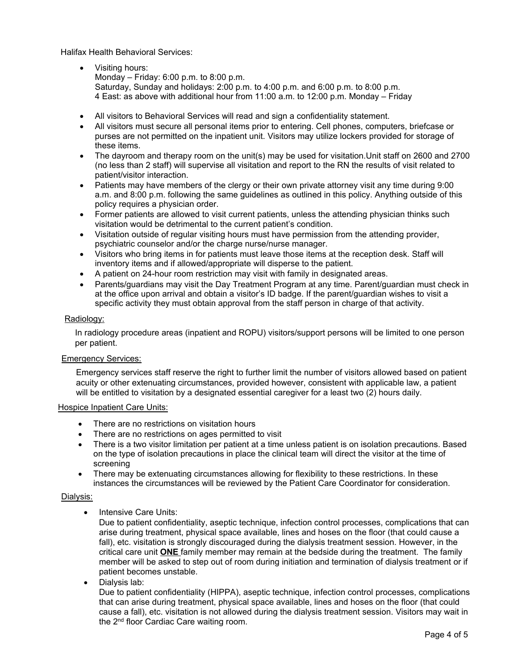Halifax Health Behavioral Services:

- Visiting hours: Monday – Friday: 6:00 p.m. to 8:00 p.m. Saturday, Sunday and holidays: 2:00 p.m. to 4:00 p.m. and 6:00 p.m. to 8:00 p.m. 4 East: as above with additional hour from 11:00 a.m. to 12:00 p.m. Monday – Friday
- All visitors to Behavioral Services will read and sign a confidentiality statement.
- All visitors must secure all personal items prior to entering. Cell phones, computers, briefcase or purses are not permitted on the inpatient unit. Visitors may utilize lockers provided for storage of these items.
- The dayroom and therapy room on the unit(s) may be used for visitation.Unit staff on 2600 and 2700 (no less than 2 staff) will supervise all visitation and report to the RN the results of visit related to patient/visitor interaction.
- Patients may have members of the clergy or their own private attorney visit any time during 9:00 a.m. and 8:00 p.m. following the same guidelines as outlined in this policy. Anything outside of this policy requires a physician order.
- Former patients are allowed to visit current patients, unless the attending physician thinks such visitation would be detrimental to the current patient's condition.
- Visitation outside of regular visiting hours must have permission from the attending provider, psychiatric counselor and/or the charge nurse/nurse manager.
- Visitors who bring items in for patients must leave those items at the reception desk. Staff will inventory items and if allowed/appropriate will disperse to the patient.
- A patient on 24-hour room restriction may visit with family in designated areas.
- Parents/guardians may visit the Day Treatment Program at any time. Parent/guardian must check in at the office upon arrival and obtain a visitor's ID badge. If the parent/guardian wishes to visit a specific activity they must obtain approval from the staff person in charge of that activity.

## Radiology:

In radiology procedure areas (inpatient and ROPU) visitors/support persons will be limited to one person per patient.

## Emergency Services:

Emergency services staff reserve the right to further limit the number of visitors allowed based on patient acuity or other extenuating circumstances, provided however, consistent with applicable law, a patient will be entitled to visitation by a designated essential caregiver for a least two (2) hours daily.

## Hospice Inpatient Care Units:

- There are no restrictions on visitation hours<br>There are no restrictions on ages narraitted
- $\bullet$ There are no restrictions on ages permitted to visit
- There is a two visitor limitation per patient at a time unless patient is on isolation precautions. Based<br>On the time of isolation precautions in place the clinical team will direct the visitor at the time of on the type of isolation precautions in place the clinical team will direct the visitor at the time of screening
- $\bullet$  There may be extenuating circumstances allowing for flexibility to these restrictions. In these instances the circumstances will be reviewed by the Patient Care Coordinator for consideration.

## Dialysis:

 $\bullet$ Intensive Care Units:

> Due to patient confidentiality, aseptic technique, infection control processes, complications that can arise during treatment, physical space available, lines and hoses on the floor (that could cause <sup>a</sup> fall), etc. visitation is strongly discouraged during the dialysis treatment session. However, in the critical care unit **ONE** family member may remain at the bedside during the treatment. The family member will be asked to step out of room during initiation and termination of dialysis treatment or if patient becomes unstable.

. Dialysis lab:

> Due to patient confidentiality (HIPPA), aseptic technique, infection control processes, complications that can arise during treatment, physical space available, lines and hoses on the floor (that could cause <sup>a</sup> fall), etc. visitation is not allowed during the dialysis treatment session. Visitors may wait in the 2<sup>nd</sup> floor Cardiac Care waiting room.